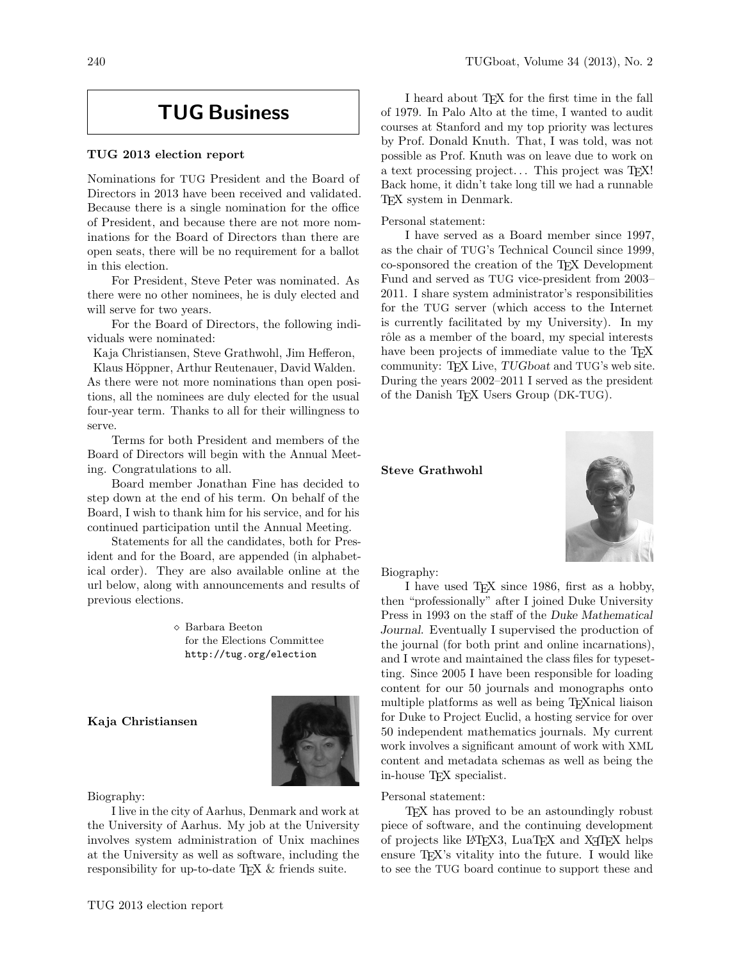# TUG Business

# TUG 2013 election report

Nominations for TUG President and the Board of Directors in 2013 have been received and validated. Because there is a single nomination for the office of President, and because there are not more nominations for the Board of Directors than there are open seats, there will be no requirement for a ballot in this election.

For President, Steve Peter was nominated. As there were no other nominees, he is duly elected and will serve for two years.

For the Board of Directors, the following individuals were nominated:

Kaja Christiansen, Steve Grathwohl, Jim Hefferon,

Klaus Höppner, Arthur Reutenauer, David Walden. As there were not more nominations than open positions, all the nominees are duly elected for the usual four-year term. Thanks to all for their willingness to serve.

Terms for both President and members of the Board of Directors will begin with the Annual Meeting. Congratulations to all.

Board member Jonathan Fine has decided to step down at the end of his term. On behalf of the Board, I wish to thank him for his service, and for his continued participation until the Annual Meeting.

Statements for all the candidates, both for President and for the Board, are appended (in alphabetical order). They are also available online at the url below, along with announcements and results of previous elections.

> Barbara Beeton for the Elections Committee http://tug.org/election

# Kaja Christiansen



## Biography:

I live in the city of Aarhus, Denmark and work at the University of Aarhus. My job at the University involves system administration of Unix machines at the University as well as software, including the responsibility for up-to-date T<sub>E</sub>X & friends suite.

I heard about TEX for the first time in the fall of 1979. In Palo Alto at the time, I wanted to audit courses at Stanford and my top priority was lectures by Prof. Donald Knuth. That, I was told, was not possible as Prof. Knuth was on leave due to work on a text processing project... This project was TEX! Back home, it didn't take long till we had a runnable TEX system in Denmark.

Personal statement:

I have served as a Board member since 1997, as the chair of TUG's Technical Council since 1999, co-sponsored the creation of the TEX Development Fund and served as TUG vice-president from 2003– 2011. I share system administrator's responsibilities for the TUG server (which access to the Internet is currently facilitated by my University). In my rôle as a member of the board, my special interests have been projects of immediate value to the T<sub>E</sub>X community: TEX Live, TUGboat and TUG's web site. During the years 2002–2011 I served as the president of the Danish TFX Users Group (DK-TUG).

Steve Grathwohl



Biography:

I have used TEX since 1986, first as a hobby, then "professionally" after I joined Duke University Press in 1993 on the staff of the Duke Mathematical Journal. Eventually I supervised the production of the journal (for both print and online incarnations), and I wrote and maintained the class files for typesetting. Since 2005 I have been responsible for loading content for our 50 journals and monographs onto multiple platforms as well as being TEXnical liaison for Duke to Project Euclid, a hosting service for over 50 independent mathematics journals. My current work involves a significant amount of work with XML content and metadata schemas as well as being the in-house TEX specialist.

#### Personal statement:

TEX has proved to be an astoundingly robust piece of software, and the continuing development of projects like L<sup>AT</sup>EX3, LuaTEX and X<sub>T</sub>TEX helps ensure  $T_{F}X$ 's vitality into the future. I would like to see the TUG board continue to support these and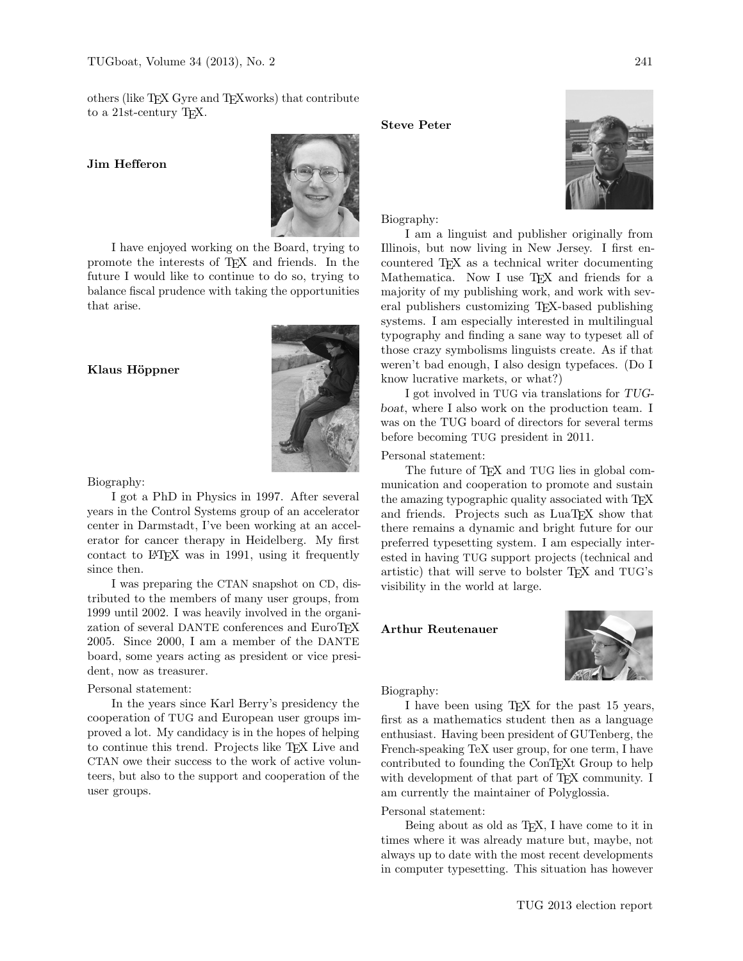others (like TEX Gyre and TEXworks) that contribute to a 21st-century TEX.

## Jim Hefferon



I have enjoyed working on the Board, trying to promote the interests of TEX and friends. In the future I would like to continue to do so, trying to balance fiscal prudence with taking the opportunities that arise.

## Klaus Höppner



#### Biography:

I got a PhD in Physics in 1997. After several years in the Control Systems group of an accelerator center in Darmstadt, I've been working at an accelerator for cancer therapy in Heidelberg. My first contact to LAT<sub>EX</sub> was in 1991, using it frequently since then.

I was preparing the CTAN snapshot on CD, distributed to the members of many user groups, from 1999 until 2002. I was heavily involved in the organization of several DANTE conferences and EuroTEX 2005. Since 2000, I am a member of the DANTE board, some years acting as president or vice president, now as treasurer.

## Personal statement:

In the years since Karl Berry's presidency the cooperation of TUG and European user groups improved a lot. My candidacy is in the hopes of helping to continue this trend. Projects like TEX Live and CTAN owe their success to the work of active volunteers, but also to the support and cooperation of the user groups.

## Steve Peter



Biography:

I am a linguist and publisher originally from Illinois, but now living in New Jersey. I first encountered TEX as a technical writer documenting Mathematica. Now I use T<sub>E</sub>X and friends for a majority of my publishing work, and work with several publishers customizing TEX-based publishing systems. I am especially interested in multilingual typography and finding a sane way to typeset all of those crazy symbolisms linguists create. As if that weren't bad enough, I also design typefaces. (Do I know lucrative markets, or what?)

I got involved in TUG via translations for TUGboat, where I also work on the production team. I was on the TUG board of directors for several terms before becoming TUG president in 2011.

## Personal statement:

The future of T<sub>F</sub>X and TUG lies in global communication and cooperation to promote and sustain the amazing typographic quality associated with TEX and friends. Projects such as LuaT<sub>EX</sub> show that there remains a dynamic and bright future for our preferred typesetting system. I am especially interested in having TUG support projects (technical and artistic) that will serve to bolster TEX and TUG's visibility in the world at large.

# Arthur Reutenauer



#### Biography:

I have been using TEX for the past 15 years, first as a mathematics student then as a language enthusiast. Having been president of GUTenberg, the French-speaking TeX user group, for one term, I have contributed to founding the ConTEXt Group to help with development of that part of T<sub>E</sub>X community. I am currently the maintainer of Polyglossia.

## Personal statement:

Being about as old as TEX, I have come to it in times where it was already mature but, maybe, not always up to date with the most recent developments in computer typesetting. This situation has however